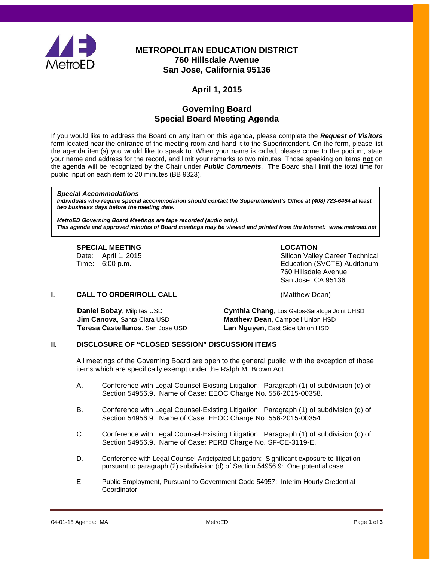

# **METROPOLITAN EDUCATION DISTRICT 760 Hillsdale Avenue San Jose, California 95136**

# **April 1, 2015**

## **Governing Board Special Board Meeting Agenda**

If you would like to address the Board on any item on this agenda, please complete the *Request of Visitors* form located near the entrance of the meeting room and hand it to the Superintendent. On the form, please list the agenda item(s) you would like to speak to. When your name is called, please come to the podium, state your name and address for the record, and limit your remarks to two minutes. Those speaking on items **not** on the agenda will be recognized by the Chair under *Public Comments*. The Board shall limit the total time for public input on each item to 20 minutes (BB 9323).

#### *Special Accommodations*

*Individuals who require special accommodation should contact the Superintendent's Office at (408) 723-6464 at least two business days before the meeting date.*

*MetroED Governing Board Meetings are tape recorded (audio only). This agenda and approved minutes of Board meetings may be viewed and printed from the Internet: www.metroed.net*

#### **SPECIAL MEETING LOCATION**

Date: April 1, 2015 **Date: April 1, 2016** Silicon Valley Career Technical Time: 6:00 p.m. Education (SVCTE) Auditorium 760 Hillsdale Avenue San Jose, CA 95136

## **I. CALL TO ORDER/ROLL CALL CALL CALL** (Matthew Dean)

**Daniel Bobay**, Milpitas USD **Cynthia Chang**, Los Gatos-Saratoga Joint UHSD **Jim Canova**, Santa Clara USD **Matthew Dean**, Campbell Union HSD **Teresa Castellanos**, San Jose USD **Lan Nguyen**, East Side Union HSD

## **II. DISCLOSURE OF "CLOSED SESSION" DISCUSSION ITEMS**

All meetings of the Governing Board are open to the general public, with the exception of those items which are specifically exempt under the Ralph M. Brown Act.

- A. Conference with Legal Counsel-Existing Litigation: Paragraph (1) of subdivision (d) of Section 54956.9. Name of Case: EEOC Charge No. 556-2015-00358.
- B. Conference with Legal Counsel-Existing Litigation: Paragraph (1) of subdivision (d) of Section 54956.9. Name of Case: EEOC Charge No. 556-2015-00354.
- C. Conference with Legal Counsel-Existing Litigation: Paragraph (1) of subdivision (d) of Section 54956.9. Name of Case: PERB Charge No. SF-CE-3119-E.
- D. Conference with Legal Counsel-Anticipated Litigation: Significant exposure to litigation pursuant to paragraph (2) subdivision (d) of Section 54956.9: One potential case.
- E. Public Employment, Pursuant to Government Code 54957: Interim Hourly Credential **Coordinator**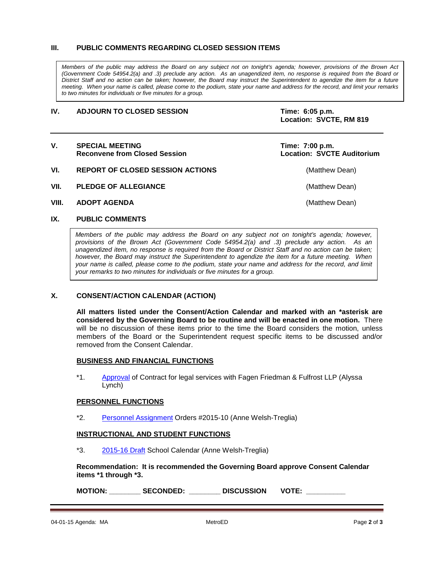## **III. PUBLIC COMMENTS REGARDING CLOSED SESSION ITEMS**

*Members of the public may address the Board on any subject not on tonight's agenda; however, provisions of the Brown Act (Government Code 54954.2(a) and .3) preclude any action. As an unagendized item, no response is required from the Board or District Staff and no action can be taken; however, the Board may instruct the Superintendent to agendize the item for a future meeting. When your name is called, please come to the podium, state your name and address for the record, and limit your remarks to two minutes for individuals or five minutes for a group.*

#### **IV. ADJOURN TO CLOSED SESSION Time: 6:05 p.m.**

**Location: SVCTE, RM 819**

| V.    | <b>SPECIAL MEETING</b><br><b>Reconvene from Closed Session</b> | Time: 7:00 p.m.<br><b>Location: SVCTE Auditorium</b> |
|-------|----------------------------------------------------------------|------------------------------------------------------|
| VI.   | <b>REPORT OF CLOSED SESSION ACTIONS</b>                        | (Matthew Dean)                                       |
| VII.  | <b>PLEDGE OF ALLEGIANCE</b>                                    | (Matthew Dean)                                       |
| VIII. | <b>ADOPT AGENDA</b>                                            | (Matthew Dean)                                       |

## **IX. PUBLIC COMMENTS**

*Members of the public may address the Board on any subject not on tonight's agenda; however, provisions of the Brown Act (Government Code 54954.2(a) and .3) preclude any action. As an unagendized item, no response is required from the Board or District Staff and no action can be taken; however, the Board may instruct the Superintendent to agendize the item for a future meeting. When your name is called, please come to the podium, state your name and address for the record, and limit your remarks to two minutes for individuals or five minutes for a group.*

## **X. CONSENT/ACTION CALENDAR (ACTION)**

**All matters listed under the Consent/Action Calendar and marked with an \*asterisk are considered by the Governing Board to be routine and will be enacted in one motion.** There will be no discussion of these items prior to the time the Board considers the motion, unless members of the Board or the Superintendent request specific items to be discussed and/or removed from the Consent Calendar.

## **BUSINESS AND FINANCIAL FUNCTIONS**

\*1. [Approval](http://fbsd.metroed.net/malaimo/Board_Agenda/04-01-15SpecialBoardMtg/Item1.pdf) of Contract for legal services with Fagen Friedman & Fulfrost LLP (Alyssa Lynch)

#### **PERSONNEL FUNCTIONS**

\*2. [Personnel Assignment](http://fbsd.metroed.net/malaimo/Board_Agenda/04-01-15SpecialBoardMtg/Item2.pdf) Orders #2015-10 (Anne Welsh-Treglia)

## **INSTRUCTIONAL AND STUDENT FUNCTIONS**

\*3. [2015-16 Draft](http://fbsd.metroed.net/malaimo/Board_Agenda/04-01-15SpecialBoardMtg/Item3.pdf) School Calendar (Anne Welsh-Treglia)

**Recommendation: It is recommended the Governing Board approve Consent Calendar items \*1 through \*3.**

**MOTION: \_\_\_\_\_\_\_\_ SECONDED: \_\_\_\_\_\_\_\_ DISCUSSION VOTE: \_\_\_\_\_\_\_\_\_\_**